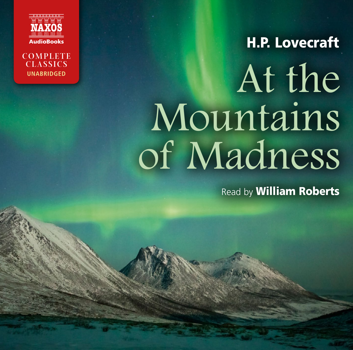



# H.P. Lovecraft At the Mountains of Madness

Read by **William Roberts**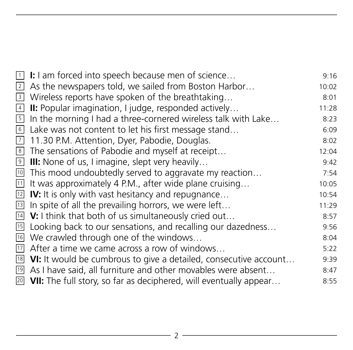| $\overline{1}$ | I: I am forced into speech because men of science                                                                                                | 9:16  |
|----------------|--------------------------------------------------------------------------------------------------------------------------------------------------|-------|
| $\overline{2}$ | As the newspapers told, we sailed from Boston Harbor                                                                                             | 10:02 |
|                | 3 Wireless reports have spoken of the breathtaking                                                                                               | 8:01  |
| $\overline{4}$ | II: Popular imagination, I judge, responded actively                                                                                             | 11:28 |
| 5 <sub>1</sub> | In the morning I had a three-cornered wireless talk with Lake                                                                                    | 8:23  |
|                | 6 Lake was not content to let his first message stand                                                                                            | 6:09  |
| $\overline{7}$ | 11.30 P.M. Attention, Dyer, Pabodie, Douglas.                                                                                                    | 8:02  |
|                | The sensations of Pabodie and myself at receipt                                                                                                  | 12:04 |
|                | 8 The sensations of Pabodie and myself at recei<br>9 <b>III:</b> None of us, I imagine, slept very heavily                                       | 9:42  |
| $\frac{10}{2}$ | This mood undoubtedly served to aggravate my reaction                                                                                            | 7:54  |
| 11             | It was approximately 4 P.M., after wide plane cruising                                                                                           | 10:05 |
|                | $12$ IV: It is only with vast hesitancy and repugnance                                                                                           | 10:54 |
|                | $\overline{13}$ In spite of all the prevailing horrors, we were left                                                                             | 11:29 |
| 14             | <b>V:</b> I think that both of us simultaneously cried out                                                                                       | 8:57  |
| 15             | Looking back to our sensations, and recalling our dazedness                                                                                      | 9:56  |
| 16             | We crawled through one of the windows                                                                                                            | 8:04  |
|                | $\frac{17}{18}$ After a time we came across a row of windows<br>$\frac{18}{18}$ VI: It would be cumbrous to give a detailed, consecutive account | 5:22  |
|                |                                                                                                                                                  | 9:39  |
|                | <sup>19</sup> As I have said, all furniture and other movables were absent                                                                       | 8:47  |
|                | $\overline{20}$ VII: The full story, so far as deciphered, will eventually appear                                                                | 8:55  |
|                |                                                                                                                                                  |       |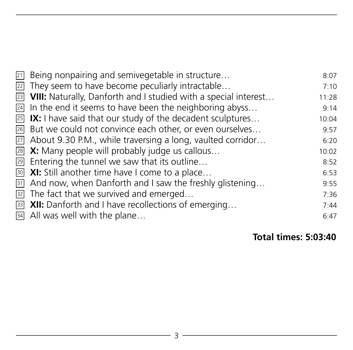| $\overline{21}$ Being nonpairing and semivegetable in structure                 | 8:07  |
|---------------------------------------------------------------------------------|-------|
| $\overline{22}$ They seem to have become peculiarly intractable                 | 7:10  |
| $\overline{23}$ VIII: Naturally, Danforth and I studied with a special interest | 11:28 |
| $\frac{24}{4}$ In the end it seems to have been the neighboring abyss           | 9:14  |
| $\overline{25}$ IX: I have said that our study of the decadent sculptures       | 10:04 |
| 26 But we could not convince each other, or even ourselves                      | 9:57  |
| $\overline{27}$ About 9.30 P.M., while traversing a long, vaulted corridor      | 6:20  |
| $\overline{28}$ <b>X:</b> Many people will probably judge us callous            | 10:02 |
| $\overline{29}$ Entering the tunnel we saw that its outline                     | 8:52  |
| <b>30 XI:</b> Still another time have I come to a place                         | 6:53  |
| $\overline{31}$ And now, when Danforth and I saw the freshly glistening         | 9:55  |
| $\overline{32}$ The fact that we survived and emerged                           | 7:36  |
| $\overline{33}$ XII: Danforth and I have recollections of emerging              | 7:44  |
| $\overline{34}$ All was well with the plane                                     | 6:47  |

**Total times: 5:03:40**

<u> 1980 - Johann Barbara, martin a</u>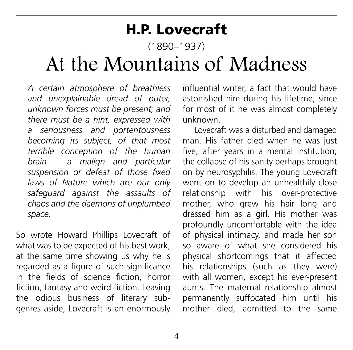# H.P. Lovecraft

(1890–1937)

# At the Mountains of Madness

*A certain atmosphere of breathless and unexplainable dread of outer, unknown forces must be present; and there must be a hint, expressed with a seriousness and portentousness becoming its subject, of that most terrible conception of the human brain – a malign and particular suspension or defeat of those fixed laws of Nature which are our only safeguard against the assaults of chaos and the daemons of unplumbed space.*

So wrote Howard Phillips Lovecraft of what was to be expected of his best work, at the same time showing us why he is regarded as a figure of such significance in the fields of science fiction, horror fiction, fantasy and weird fiction. Leaving the odious business of literary subgenres aside, Lovecraft is an enormously influential writer, a fact that would have astonished him during his lifetime, since for most of it he was almost completely unknown.

Lovecraft was a disturbed and damaged man. His father died when he was just five, after years in a mental institution, the collapse of his sanity perhaps brought on by neurosyphilis. The young Lovecraft went on to develop an unhealthily close relationship with his over-protective mother, who grew his hair long and dressed him as a girl. His mother was profoundly uncomfortable with the idea of physical intimacy, and made her son so aware of what she considered his physical shortcomings that it affected his relationships (such as they were) with all women, except his ever-present aunts. The maternal relationship almost permanently suffocated him until his mother died, admitted to the same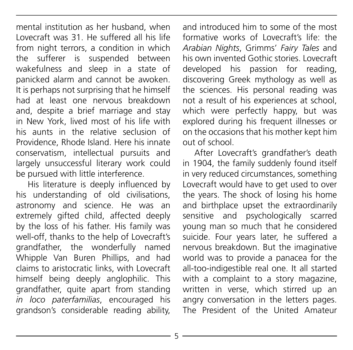mental institution as her husband, when Lovecraft was 31. He suffered all his life from night terrors, a condition in which the sufferer is suspended between wakefulness and sleep in a state of panicked alarm and cannot be awoken. It is perhaps not surprising that he himself had at least one nervous breakdown and, despite a brief marriage and stay in New York, lived most of his life with his aunts in the relative seclusion of Providence, Rhode Island. Here his innate conservatism, intellectual pursuits and largely unsuccessful literary work could be pursued with little interference.

His literature is deeply influenced by his understanding of old civilisations, astronomy and science. He was an extremely gifted child, affected deeply by the loss of his father. His family was well-off, thanks to the help of Lovecraft's grandfather, the wonderfully named Whipple Van Buren Phillips, and had claims to aristocratic links, with Lovecraft himself being deeply anglophilic. This grandfather, quite apart from standing *in loco paterfamilias*, encouraged his grandson's considerable reading ability,

and introduced him to some of the most formative works of Lovecraft's life: the *Arabian Nights*, Grimms' *Fairy Tales* and his own invented Gothic stories. Lovecraft developed his passion for reading, discovering Greek mythology as well as the sciences. His personal reading was not a result of his experiences at school, which were perfectly happy, but was explored during his frequent illnesses or on the occasions that his mother kept him out of school.

After Lovecraft's grandfather's death in 1904, the family suddenly found itself in very reduced circumstances, something Lovecraft would have to get used to over the years. The shock of losing his home and birthplace upset the extraordinarily sensitive and psychologically scarred young man so much that he considered suicide. Four years later, he suffered a nervous breakdown. But the imaginative world was to provide a panacea for the all-too-indigestible real one. It all started with a complaint to a story magazine. written in verse, which stirred up an angry conversation in the letters pages. The President of the United Amateur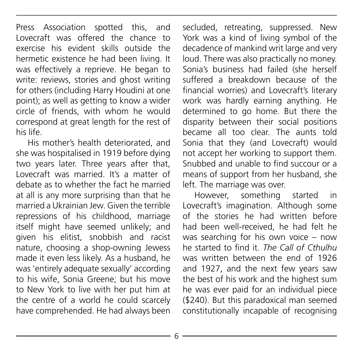Press Association spotted this, and Lovecraft was offered the chance to exercise his evident skills outside the hermetic existence he had been living. It was effectively a reprieve. He began to write: reviews, stories and ghost writing for others (including Harry Houdini at one point); as well as getting to know a wider circle of friends, with whom he would correspond at great length for the rest of his life.

His mother's health deteriorated, and she was hospitalised in 1919 before dying two years later. Three years after that, Lovecraft was married. It's a matter of debate as to whether the fact he married at all is any more surprising than that he married a Ukrainian Jew. Given the terrible repressions of his childhood, marriage itself might have seemed unlikely; and given his elitist, snobbish and racist nature, choosing a shop-owning Jewess made it even less likely. As a husband, he was 'entirely adequate sexually' according to his wife, Sonia Greene; but his move to New York to live with her put him at the centre of a world he could scarcely have comprehended. He had always been secluded, retreating, suppressed. New York was a kind of living symbol of the decadence of mankind writ large and very loud. There was also practically no money. Sonia's business had failed (she herself suffered a breakdown because of the financial worries) and Lovecraft's literary work was hardly earning anything. He determined to go home. But there the disparity between their social positions became all too clear. The aunts told Sonia that they (and Lovecraft) would not accept her working to support them. Snubbed and unable to find succour or a means of support from her husband, she left. The marriage was over.

However, something started in Lovecraft's imagination. Although some of the stories he had written before had been well-received, he had felt he was searching for his own voice - now he started to find it. *The Call of Cthulhu* was written between the end of 1926 and 1927, and the next few years saw the best of his work and the highest sum he was ever paid for an individual piece (\$240). But this paradoxical man seemed constitutionally incapable of recognising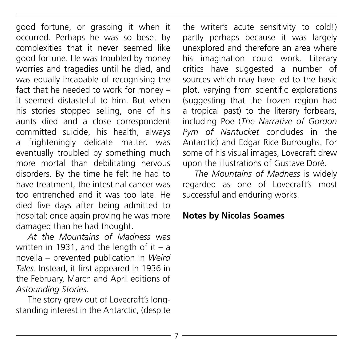good fortune, or grasping it when it occurred. Perhaps he was so beset by complexities that it never seemed like good fortune. He was troubled by money worries and tragedies until he died, and was equally incapable of recognising the fact that he needed to work for money – it seemed distasteful to him. But when his stories stopped selling, one of his aunts died and a close correspondent committed suicide, his health, always a frighteningly delicate matter, was eventually troubled by something much more mortal than debilitating nervous disorders. By the time he felt he had to have treatment, the intestinal cancer was too entrenched and it was too late. He died five days after being admitted to hospital; once again proving he was more damaged than he had thought.

*At the Mountains of Madness* was written in 1931, and the length of it  $-$  a novella – prevented publication in *Weird Tales*. Instead, it first appeared in 1936 in the February, March and April editions of *Astounding Stories*.

The story grew out of Lovecraft's longstanding interest in the Antarctic, (despite the writer's acute sensitivity to cold!) partly perhaps because it was largely unexplored and therefore an area where his imagination could work. Literary critics have suggested a number of sources which may have led to the basic plot, varying from scientific explorations (suggesting that the frozen region had a tropical past) to the literary forbears, including Poe (*The Narrative of Gordon Pym of Nantucket* concludes in the Antarctic) and Edgar Rice Burroughs. For some of his visual images, Lovecraft drew upon the illustrations of Gustave Doré.

*The Mountains of Madness* is widely regarded as one of Lovecraft's most successful and enduring works.

#### **Notes by Nicolas Soames**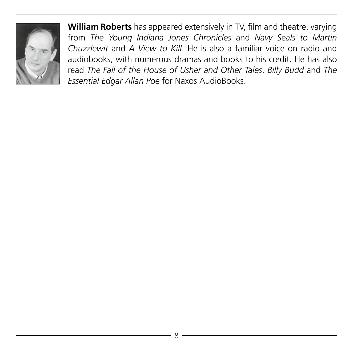

**William Roberts** has appeared extensively in TV, film and theatre, varying from *The Young Indiana Jones Chronicles* and *Navy Seals to Martin Chuzzlewit* and *A View to Kill*. He is also a familiar voice on radio and audiobooks, with numerous dramas and books to his credit. He has also read *The Fall of the House of Usher and Other Tales*, *Billy Budd* and *The Essential Edgar Allan Poe* for Naxos AudioBooks.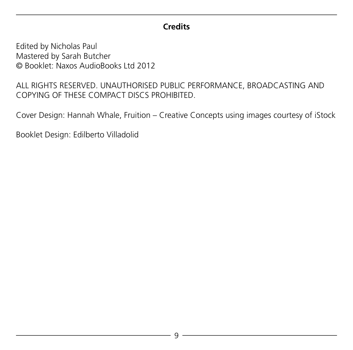#### **Credits**

Edited by Nicholas Paul Mastered by Sarah Butcher © Booklet: Naxos AudioBooks Ltd 2012

ALL RIGHTS RESERVED. UNAUTHORISED PUBLIC PERFORMANCE, BROADCASTING AND COPYING OF THESE COMPACT DISCS PROHIBITED.

Cover Design: Hannah Whale, Fruition – Creative Concepts using images courtesy of iStock

Booklet Design: Edilberto Villadolid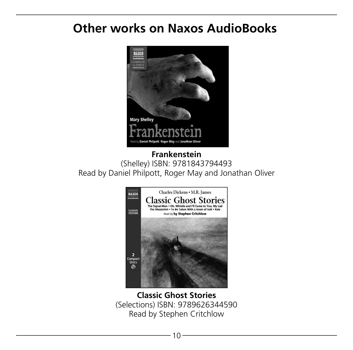### **Other works on Naxos AudioBooks**



**Frankenstein** (Shelley) ISBN: 9781843794493 Read by Daniel Philpott, Roger May and Jonathan Oliver



**Classic Ghost Stories** (Selections) ISBN: 9789626344590 Read by Stephen Critchlow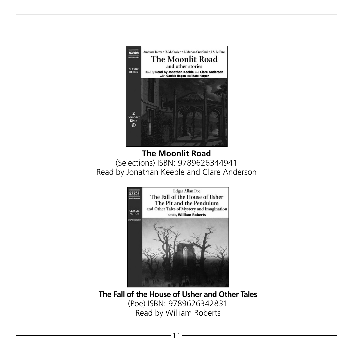

**The Moonlit Road** (Selections) ISBN: 9789626344941 Read by Jonathan Keeble and Clare Anderson



**The Fall of the House of Usher and Other Tales** (Poe) ISBN: 9789626342831 Read by William Roberts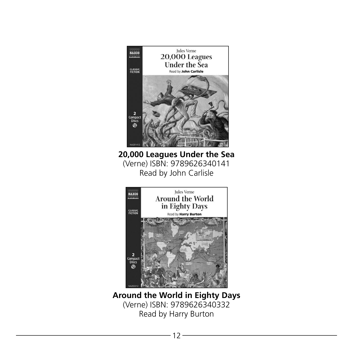

(Verne) ISBN: 9789626340332 Read by Harry Burton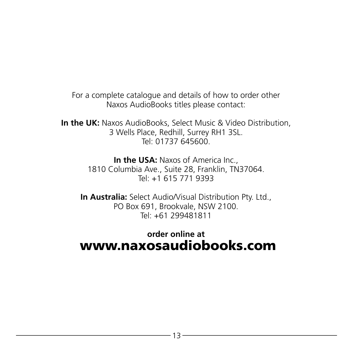For a complete catalogue and details of how to order other Naxos AudioBooks titles please contact:

**In the UK:** Naxos AudioBooks, Select Music & Video Distribution, 3 Wells Place, Redhill, Surrey RH1 3SL. Tel: 01737 645600

> **In the USA:** Naxos of America Inc., 1810 Columbia Ave., Suite 28, Franklin, TN37064. Tel: +1 615 771 9393

**In Australia:** Select Audio/Visual Distribution Pty. Ltd., PO Box 691, Brookvale, NSW 2100. Tel: +61 299481811

#### **order online at** www.naxosaudiobooks.com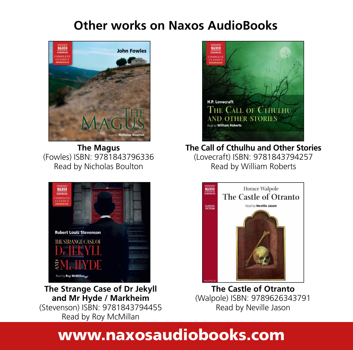## **Other works on Naxos AudioBooks**



**The Magus** (Fowles) ISBN: 9781843796336 Read by Nicholas Boulton



**The Strange Case of Dr Jekyll and Mr Hyde / Markheim** (Stevenson) ISBN: 9781843794455 Read by Roy McMillan



**The Call of Cthulhu and Other Stories** (Lovecraft) ISBN: 9781843794257 Read by William Roberts



**The Castle of Otranto** (Walpole) ISBN: 9789626343791 Read by Neville Jason

# www.naxosaudiobooks.com